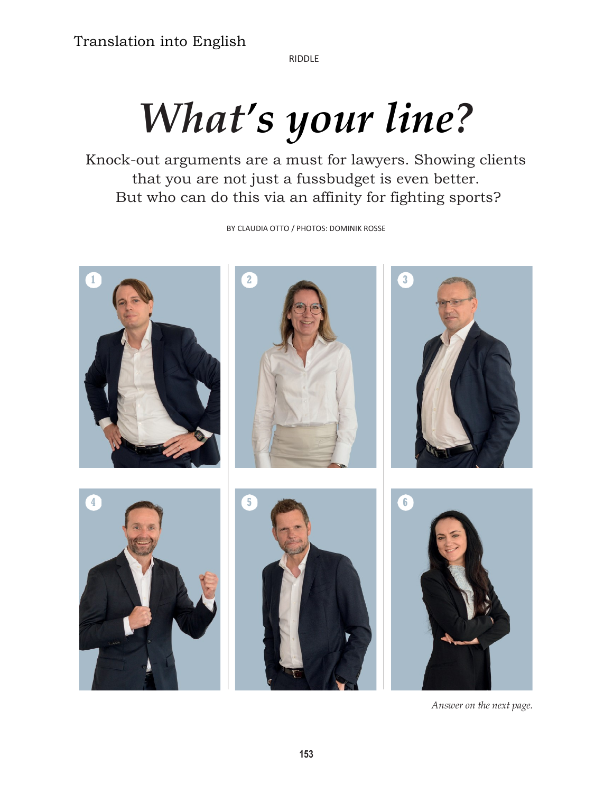RIDDLE

# What's your line?

Knock-out arguments are a must for lawyers. Showing clients that you are not just a fussbudget is even better. But who can do this via an affinity for fighting sports?

BY CLAUDIA OTTO / PHOTOS: DOMINIK ROSSE



Answer on the next page.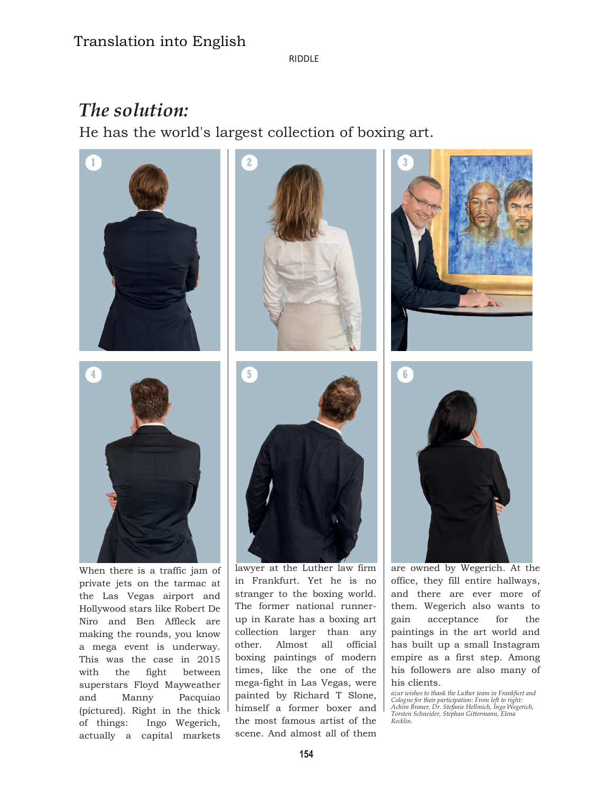## Translation into English

RIDDLE

## The solution:

He has the world's largest collection of boxing art.



the Las Vegas airport and Hollywood stars like Robert De Niro and Ben Affleck are making the rounds, you know a mega event is underway. This was the case in 2015 with the fight between superstars Floyd Mayweather and Manny Pacquiao (pictured). Right in the thick of things: Ingo Wegerich, actually a capital markets

stranger to the boxing world. The former national runnerup in Karate has a boxing art collection larger than any other. Almost all official boxing paintings of modern times, like the one of the mega-fight in Las Vegas, were painted by Richard T Slone, himself a former boxer and the most famous artist of the scene. And almost all of them

office, they fill entire hallways, and there are ever more of them. Wegerich also wants to gain acceptance for the paintings in the art world and has built up a small Instagram empire as a first step. Among his followers are also many of his clients.

azur wishes to thank the Luther team in Frankfurt and Cologne for their participation: From left to right: Achim Braner, Dr. Stefanie Hellmich, Ingo Wegerich, Torsten Schneider, Stephan Gittermann, Elena Recklin.